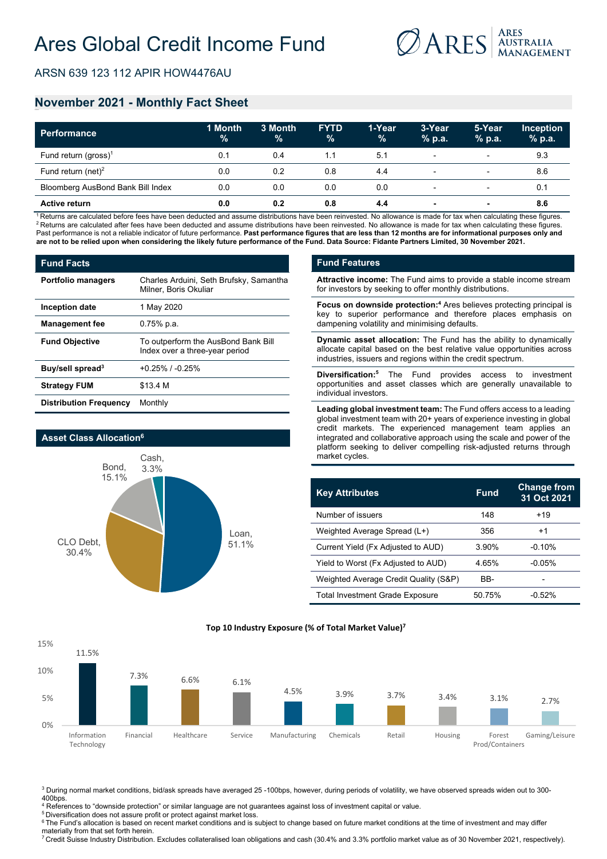

ARSN 639 123 112 APIR HOW4476AU

# **November 2021 - Monthly Fact Sheet**

| <b>Performance</b>                | 1 Month<br>$\frac{9}{6}$ | 3 Month<br>$\%$ | <b>FYTD</b><br>$\%$ | 1-Year<br>$\%$ | 3-Year<br>$%$ p.a.       | 5-Year<br>$%$ p.a.       | <b>Inception</b><br>$%$ p.a. |
|-----------------------------------|--------------------------|-----------------|---------------------|----------------|--------------------------|--------------------------|------------------------------|
| Fund return (gross) <sup>1</sup>  | 0.1                      | 0.4             |                     | 5.1            | $\overline{\phantom{0}}$ | $\overline{\phantom{0}}$ | 9.3                          |
| Fund return (net) <sup>2</sup>    | 0.0                      | 0.2             | 0.8                 | 4.4            | $\overline{\phantom{0}}$ | $\overline{\phantom{0}}$ | 8.6                          |
| Bloomberg AusBond Bank Bill Index | 0.0                      | 0.0             | 0.0                 | 0.0            | $\overline{\phantom{0}}$ | $\overline{\phantom{0}}$ | 0.1                          |
| <b>Active return</b>              | 0.0                      | 0.2             | 0.8                 | 4.4            |                          |                          | 8.6                          |

<sup>1</sup> Returns are calculated before fees have been deducted and assume distributions have been reinvested. No allowance is made for tax when calculating these figures.<br><sup>2</sup> Returns are calculated after fees have been deducted Past performance is not a reliable indicator of future performance. Past performance figures that are less than 12 months are for informational purposes only and **are not to be relied upon when considering the likely future performance of the Fund. Data Source: Fidante Partners Limited, 30 November 2021.**

| <b>Fund Facts</b>             |                                                                       |  |  |  |
|-------------------------------|-----------------------------------------------------------------------|--|--|--|
| <b>Portfolio managers</b>     | Charles Arduini, Seth Brufsky, Samantha<br>Milner, Boris Okuliar      |  |  |  |
| Inception date                | 1 May 2020                                                            |  |  |  |
| <b>Management fee</b>         | $0.75\%$ p.a.                                                         |  |  |  |
| <b>Fund Objective</b>         | To outperform the AusBond Bank Bill<br>Index over a three-year period |  |  |  |
| Buy/sell spread <sup>3</sup>  | $+0.25\%$ / $-0.25\%$                                                 |  |  |  |
| <b>Strategy FUM</b>           | \$13.4 M                                                              |  |  |  |
| <b>Distribution Frequency</b> | Monthly                                                               |  |  |  |



### **Fund Features**

**Attractive income:** The Fund aims to provide a stable income stream for investors by seeking to offer monthly distributions.

**Focus on downside protection:4** Ares believes protecting principal is key to superior performance and therefore places emphasis on dampening volatility and minimising defaults.

**Dynamic asset allocation:** The Fund has the ability to dynamically allocate capital based on the best relative value opportunities across industries, issuers and regions within the credit spectrum.

**Diversification:5** The Fund provides access to investment opportunities and asset classes which are generally unavailable to individual investors.

**Leading global investment team:** The Fund offers access to a leading global investment team with 20+ years of experience investing in global credit markets. The experienced management team applies an integrated and collaborative approach using the scale and power of the platform seeking to deliver compelling risk-adjusted returns through market cycles.

| <b>Key Attributes</b>                  | <b>Fund</b> | <b>Change from</b><br>31 Oct 2021 |
|----------------------------------------|-------------|-----------------------------------|
| Number of issuers                      | 148         | $+19$                             |
| Weighted Average Spread (L+)           | 356         | +1                                |
| Current Yield (Fx Adjusted to AUD)     | 3.90%       | $-0.10%$                          |
| Yield to Worst (Fx Adjusted to AUD)    | 4.65%       | $-0.05%$                          |
| Weighted Average Credit Quality (S&P)  | BB-         |                                   |
| <b>Total Investment Grade Exposure</b> | 50.75%      | -0.52%                            |



**Top 10 Industry Exposure (% of Total Market Value)7**

<sup>3</sup> During normal market conditions, bid/ask spreads have averaged 25 -100bps, however, during periods of volatility, we have observed spreads widen out to 300-400bps.

 $^4$  References to "downside protection" or similar language are not guarantees against loss of investment capital or value.

<sup>5</sup> Diversification does not assure profit or protect against market loss.

<sup>6</sup> The Fund's allocation is based on recent market conditions and is subject to change based on future market conditions at the time of investment and may differ materially from that set forth herein.

<sup>7</sup> Credit Suisse Industry Distribution. Excludes collateralised loan obligations and cash (30.4% and 3.3% portfolio market value as of 30 November 2021, respectively).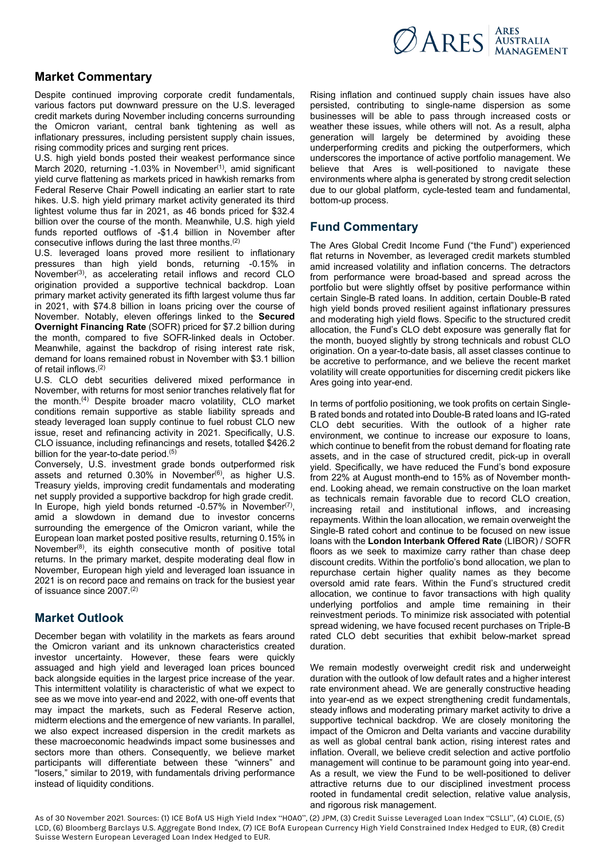

# **Market Commentary**

Despite continued improving corporate credit fundamentals, various factors put downward pressure on the U.S. leveraged credit markets during November including concerns surrounding the Omicron variant, central bank tightening as well as inflationary pressures, including persistent supply chain issues, rising commodity prices and surging rent prices.

U.S. high yield bonds posted their weakest performance since March 2020, returning  $-1.03\%$  in November<sup> $(1)$ </sup>, amid significant yield curve flattening as markets priced in hawkish remarks from Federal Reserve Chair Powell indicating an earlier start to rate hikes. U.S. high yield primary market activity generated its third lightest volume thus far in 2021, as 46 bonds priced for \$32.4 billion over the course of the month. Meanwhile, U.S. high yield funds reported outflows of -\$1.4 billion in November after consecutive inflows during the last three months.(2)

U.S. leveraged loans proved more resilient to inflationary pressures than high yield bonds, returning -0.15% in  $N$ ovember<sup>(3)</sup>, as accelerating retail inflows and record CLO origination provided a supportive technical backdrop. Loan primary market activity generated its fifth largest volume thus far in 2021, with \$74.8 billion in loans pricing over the course of November. Notably, eleven offerings linked to the **Secured Overnight Financing Rate** (SOFR) priced for \$7.2 billion during the month, compared to five SOFR-linked deals in October. Meanwhile, against the backdrop of rising interest rate risk, demand for loans remained robust in November with \$3.1 billion of retail inflows.(2)

U.S. CLO debt securities delivered mixed performance in November, with returns for most senior tranches relatively flat for the month.(4) Despite broader macro volatility, CLO market conditions remain supportive as stable liability spreads and steady leveraged loan supply continue to fuel robust CLO new issue, reset and refinancing activity in 2021. Specifically, U.S. CLO issuance, including refinancings and resets, totalled \$426.2 billion for the year-to-date period.<sup>(5)</sup>

Conversely, U.S. investment grade bonds outperformed risk assets and returned  $0.30\%$  in November<sup> $(6)$ </sup>, as higher U.S. Treasury yields, improving credit fundamentals and moderating net supply provided a supportive backdrop for high grade credit. In Europe, high yield bonds returned -0.57% in November<sup>(7)</sup>, amid a slowdown in demand due to investor concerns surrounding the emergence of the Omicron variant, while the European loan market posted positive results, returning 0.15% in November(8), its eighth consecutive month of positive total returns. In the primary market, despite moderating deal flow in November, European high yield and leveraged loan issuance in 2021 is on record pace and remains on track for the busiest year of issuance since 2007.(2)

### **Market Outlook**

December began with volatility in the markets as fears around the Omicron variant and its unknown characteristics created investor uncertainty. However, these fears were quickly assuaged and high yield and leveraged loan prices bounced back alongside equities in the largest price increase of the year. This intermittent volatility is characteristic of what we expect to see as we move into year-end and 2022, with one-off events that may impact the markets, such as Federal Reserve action, midterm elections and the emergence of new variants. In parallel, we also expect increased dispersion in the credit markets as these macroeconomic headwinds impact some businesses and sectors more than others. Consequently, we believe market participants will differentiate between these "winners" and "losers," similar to 2019, with fundamentals driving performance instead of liquidity conditions.

Rising inflation and continued supply chain issues have also persisted, contributing to single-name dispersion as some businesses will be able to pass through increased costs or weather these issues, while others will not. As a result, alpha generation will largely be determined by avoiding these underperforming credits and picking the outperformers, which underscores the importance of active portfolio management. We believe that Ares is well-positioned to navigate these environments where alpha is generated by strong credit selection due to our global platform, cycle-tested team and fundamental, bottom-up process.

## **Fund Commentary**

The Ares Global Credit Income Fund ("the Fund") experienced flat returns in November, as leveraged credit markets stumbled amid increased volatility and inflation concerns. The detractors from performance were broad-based and spread across the portfolio but were slightly offset by positive performance within certain Single-B rated loans. In addition, certain Double-B rated high yield bonds proved resilient against inflationary pressures and moderating high yield flows. Specific to the structured credit allocation, the Fund's CLO debt exposure was generally flat for the month, buoyed slightly by strong technicals and robust CLO origination. On a year-to-date basis, all asset classes continue to be accretive to performance, and we believe the recent market volatility will create opportunities for discerning credit pickers like Ares going into year-end.

In terms of portfolio positioning, we took profits on certain Single-B rated bonds and rotated into Double-B rated loans and IG-rated CLO debt securities. With the outlook of a higher rate environment, we continue to increase our exposure to loans, which continue to benefit from the robust demand for floating rate assets, and in the case of structured credit, pick-up in overall yield. Specifically, we have reduced the Fund's bond exposure from 22% at August month-end to 15% as of November monthend. Looking ahead, we remain constructive on the loan market as technicals remain favorable due to record CLO creation, increasing retail and institutional inflows, and increasing repayments. Within the loan allocation, we remain overweight the Single-B rated cohort and continue to be focused on new issue loans with the **London Interbank Offered Rate** (LIBOR) / SOFR floors as we seek to maximize carry rather than chase deep discount credits. Within the portfolio's bond allocation, we plan to repurchase certain higher quality names as they become oversold amid rate fears. Within the Fund's structured credit allocation, we continue to favor transactions with high quality underlying portfolios and ample time remaining in their reinvestment periods. To minimize risk associated with potential spread widening, we have focused recent purchases on Triple-B rated CLO debt securities that exhibit below-market spread duration.

We remain modestly overweight credit risk and underweight duration with the outlook of low default rates and a higher interest rate environment ahead. We are generally constructive heading into year-end as we expect strengthening credit fundamentals, steady inflows and moderating primary market activity to drive a supportive technical backdrop. We are closely monitoring the impact of the Omicron and Delta variants and vaccine durability as well as global central bank action, rising interest rates and inflation. Overall, we believe credit selection and active portfolio management will continue to be paramount going into year-end. As a result, we view the Fund to be well-positioned to deliver attractive returns due to our disciplined investment process rooted in fundamental credit selection, relative value analysis, and rigorous risk management.

As of 30 November 2021. Sources: (1) ICE BofA US High Yield Index "H0A0", (2) JPM, (3) Credit Suisse Leveraged Loan Index "CSLLI", (4) CLOIE, (5) LCD, (6) Bloomberg Barclays U.S. Aggregate Bond Index, (7) ICE BofA European Currency High Yield Constrained Index Hedged to EUR, (8) Credit Suisse Western European Leveraged Loan Index Hedged to EUR.